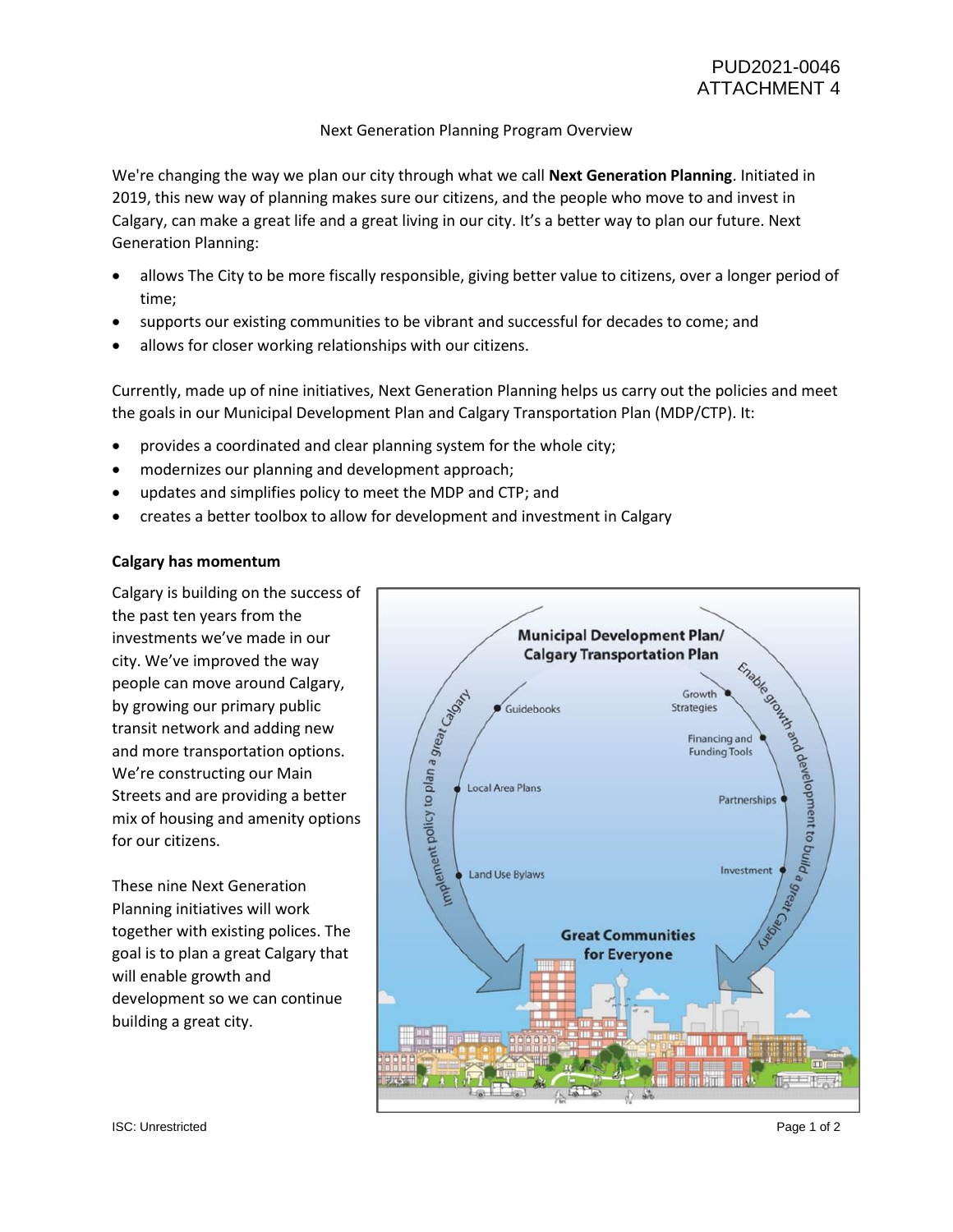# Next Generation Planning Program Overview

We're changing the way we plan our city through what we call **Next Generation Planning**. Initiated in 2019, this new way of planning makes sure our citizens, and the people who move to and invest in Calgary, can make a great life and a great living in our city. It's a better way to plan our future. Next Generation Planning:

- allows The City to be more fiscally responsible, giving better value to citizens, over a longer period of time;
- supports our existing communities to be vibrant and successful for decades to come; and
- allows for closer working relationships with our citizens.

Currently, made up of nine initiatives, Next Generation Planning helps us carry out the policies and meet the goals in our Municipal Development Plan and Calgary Transportation Plan (MDP/CTP). It:

- provides a coordinated and clear planning system for the whole city;
- modernizes our planning and development approach;
- updates and simplifies policy to meet the MDP and CTP; and
- creates a better toolbox to allow for development and investment in Calgary

# **Calgary has momentum**

Calgary is building on the success of the past ten years from the investments we've made in our city. We've improved the way people can move around Calgary, by growing our primary public transit network and adding new and more transportation options. We're constructing our Main Streets and are providing a better mix of housing and amenity options for our citizens.

These nine Next Generation Planning initiatives will work together with existing polices. The goal is to plan a great Calgary that will enable growth and development so we can continue building a great city.